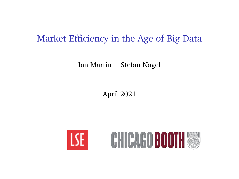### <span id="page-0-0"></span>Market Efficiency in the Age of Big Data

Ian Martin Stefan Nagel

April 2021



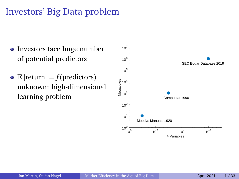# Investors' Big Data problem

- Investors face huge number of potential predictors
- $\bullet \mathbb{E}$  [return] = *f*(predictors) unknown: high-dimensional learning problem

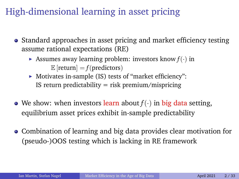# High-dimensional learning in asset pricing

- Standard approaches in asset pricing and market efficiency testing assume rational expectations (RE)
	- $\triangleright$  Assumes away learning problem: investors know  $f(\cdot)$  in  $\mathbb{E}$  [return] =  $f$ (predictors)
	- $\triangleright$  Motivates in-sample (IS) tests of "market efficiency": IS return predictability  $=$  risk premium/mispricing
- We show: when investors learn about  $f(\cdot)$  in big data setting, equilibrium asset prices exhibit in-sample predictability
- Combination of learning and big data provides clear motivation for (pseudo-)OOS testing which is lacking in RE framework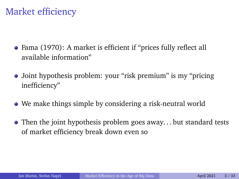# Market efficiency

- Fama (1970): A market is efficient if "prices fully reflect all available information"
- Joint hypothesis problem: your "risk premium" is my "pricing inefficiency"
- We make things simple by considering a risk-neutral world
- Then the joint hypothesis problem goes away... but standard tests of market efficiency break down even so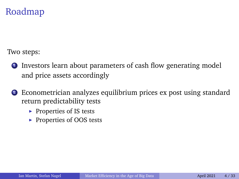### Roadmap

Two steps:

- **1** Investors learn about parameters of cash flow generating model and price assets accordingly
- <sup>2</sup> Econometrician analyzes equilibrium prices ex post using standard return predictability tests
	- $\blacktriangleright$  Properties of IS tests
	- $\blacktriangleright$  Properties of OOS tests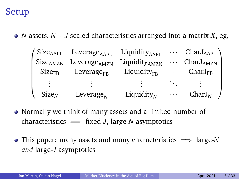### Setup

• *N* assets,  $N \times J$  scaled characteristics arranged into a matrix *X*, eg,

| Size <sub>AAPL</sub> | Leverage <sub>AAPI.</sub> | Liquidity <sub>AAPL</sub> | $\mathbf{z}$ , and $\mathbf{z}$ , and $\mathbf{z}$ | $CharJ_{APL}$                  |
|----------------------|---------------------------|---------------------------|----------------------------------------------------|--------------------------------|
| Size <sub>AMZN</sub> | Leverage <sub>AMZN</sub>  | Liquidity <sub>AMZN</sub> |                                                    | $\cdots$ CharJ <sub>AMZN</sub> |
| Size <sub>FB</sub>   | Leverage <sub>FR</sub>    | Liquidity <sub>FR</sub>   | $\cdots$                                           | $CharJ_{FB}$                   |
|                      |                           |                           |                                                    |                                |
| Size <sub>N</sub>    | Leverage $_N$             | Liquidity $_{N}$          | .                                                  | $CharJ_N$                      |

- Normally we think of many assets and a limited number of characteristics  $\implies$  fixed-*J*, large-*N* asymptotics
- This paper: many assets and many characteristics =⇒ large-*N and* large-*J* asymptotics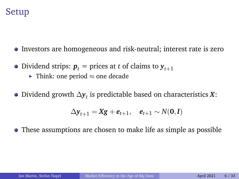

- Investors are homogeneous and risk-neutral; interest rate is zero
- Dividend strips:  $p_t$  = prices at *t* of claims to  $y_{t+1}$ 
	- $\triangleright$  Think: one period ≈ one decade
- Dividend growth ∆*y<sup>t</sup>* is predictable based on characteristics *X*:

$$
\Delta \mathbf{y}_{t+1} = \mathbf{X}\mathbf{g} + \mathbf{e}_{t+1}, \quad \mathbf{e}_{t+1} \sim N(\mathbf{0}, \mathbf{I})
$$

These assumptions are chosen to make life as simple as possible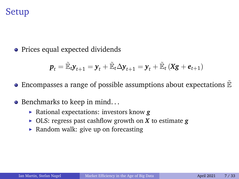### Setup

• Prices equal expected dividends

$$
\boldsymbol{p}_{t} = \mathbb{\tilde{E}}_{t} \boldsymbol{y}_{t+1} = \boldsymbol{y}_{t} + \mathbb{\tilde{E}}_{t} \Delta \boldsymbol{y}_{t+1} = \boldsymbol{y}_{t} + \mathbb{\tilde{E}}_{t} \left( \boldsymbol{X} \boldsymbol{g} + \boldsymbol{e}_{t+1} \right)
$$

- Encompasses a range of possible assumptions about expectations  $\mathbb{E}$
- Benchmarks to keep in mind...
	- ► Rational expectations: investors know **g**
	- $\triangleright$  OLS: regress past cashflow growth on *X* to estimate *g*
	- $\triangleright$  Random walk: give up on forecasting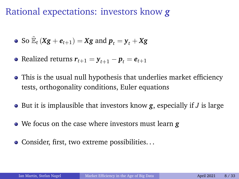Rational expectations: investors know *g*

• So 
$$
\mathbb{E}_t (Xg + e_{t+1}) = Xg
$$
 and  $p_t = y_t + Xg$ 

- Realized returns  $r_{t+1} = y_{t+1} p_t = e_{t+1}$
- This is the usual null hypothesis that underlies market efficiency tests, orthogonality conditions, Euler equations
- But it is implausible that investors know *g*, especially if *J* is large
- We focus on the case where investors must learn *g*
- Consider, first, two extreme possibilities...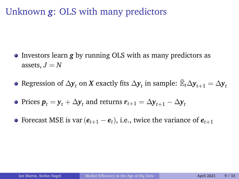# Unknown *g*: OLS with many predictors

- **•** Investors learn **g** by running OLS with as many predictors as assets,  $J = N$
- Regression of  $\Delta$  $\bm{y}_t$  on  $\bm{X}$  exactly fits  $\Delta \bm{y}_t$  in sample:  $\tilde{\mathbb{E}}_t\Delta \bm{y}_{t+1}=\Delta \bm{y}_t$
- Prices  $\boldsymbol{p}_t = \boldsymbol{y}_t + \Delta \boldsymbol{y}_t$  and returns  $\boldsymbol{r}_{t+1} = \Delta \boldsymbol{y}_{t+1} \Delta \boldsymbol{y}_t$
- Forecast MSE is var  $(e_{t+1} e_t)$ , i.e., twice the variance of  $e_{t+1}$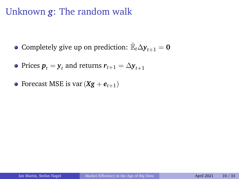### Unknown *g*: The random walk

- Completely give up on prediction:  $\mathbb{E}_t \Delta \mathbf{y}_{t+1} = \mathbf{0}$
- Prices  $\boldsymbol{p}_t = \boldsymbol{\mathsf{y}}_t$  and returns  $\boldsymbol{r}_{t+1} = \Delta \boldsymbol{\mathsf{y}}_{t+1}$
- Forecast MSE is var  $(Xg + e_{t+1})$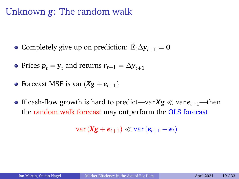### Unknown *g*: The random walk

Completely give up on prediction:  $\mathbb{E}_t \Delta \mathbf{y}_{t+1} = \mathbf{0}$ 

- Prices  $\boldsymbol{p}_t = \boldsymbol{\mathsf{y}}_t$  and returns  $\boldsymbol{r}_{t+1} = \Delta \boldsymbol{\mathsf{y}}_{t+1}$
- Forecast MSE is var  $(Xg + e_{t+1})$
- **•** If cash-flow growth is hard to predict—var  $Xg \ll \text{var }e_{t+1}$ —then the random walk forecast may outperform the OLS forecast

 $var(Xg + e_{t+1})$  ≪  $var(e_{t+1} - e_t)$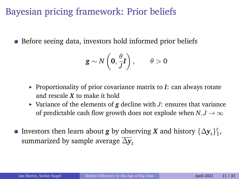Bayesian pricing framework: Prior beliefs

• Before seeing data, investors hold informed prior beliefs

$$
\mathbf{g} \sim N\left(\mathbf{0}, \frac{\theta}{J}\mathbf{I}\right), \qquad \theta > 0
$$

- **Proportionality of prior covariance matrix to**  $I$ **: can always rotate** and rescale *X* to make it hold
- $\triangleright$  Variance of the elements of **g** decline with *J*: ensures that variance of predictable cash flow growth does not explode when  $N, J \rightarrow \infty$
- Investors then learn about  $g$  by observing  $X$  and history  $\{\Delta y_{s}\}_{1}^{t}$ , summarized by sample average  $\overline{\Delta v}$ *t*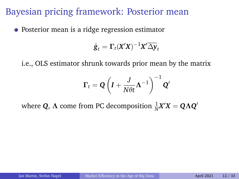• Posterior mean is a ridge regression estimator

$$
\tilde{\boldsymbol{g}}_t = \boldsymbol{\Gamma}_t (\boldsymbol{X}'\boldsymbol{X})^{-1} \boldsymbol{X}' \overline{\Delta \mathbf{y}}_t
$$

i.e., OLS estimator shrunk towards prior mean by the matrix

$$
\boldsymbol{\Gamma}_{t}=\boldsymbol{Q}\left(\boldsymbol{I}+\frac{J}{N\theta t}\boldsymbol{\Lambda}^{-1}\right)^{-1}\boldsymbol{Q}'
$$

where  $Q$ ,  $\Lambda$  come from PC decomposition  $\frac{1}{N}X'X = Q\Lambda Q'$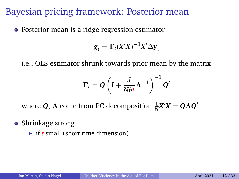• Posterior mean is a ridge regression estimator

$$
\tilde{\boldsymbol{g}}_t = \boldsymbol{\Gamma}_t (\boldsymbol{X}'\boldsymbol{X})^{-1} \boldsymbol{X}' \overline{\Delta \mathbf{y}}_t
$$

i.e., OLS estimator shrunk towards prior mean by the matrix

$$
\Gamma_t = \mathbf{Q} \left( I + \frac{J}{N \theta t} \mathbf{\Lambda}^{-1} \right)^{-1} \mathbf{Q}'
$$

where  $Q$ ,  $\Lambda$  come from PC decomposition  $\frac{1}{N}X'X = Q\Lambda Q'$ 

#### • Shrinkage strong

 $\rightarrow$  if *t* small (short time dimension)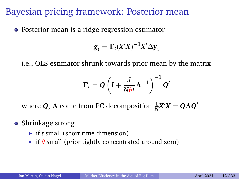• Posterior mean is a ridge regression estimator

$$
\tilde{\mathbf{g}}_t = \mathbf{\Gamma}_t (\mathbf{X}'\mathbf{X})^{-1} \mathbf{X}' \overline{\Delta \mathbf{y}}_t
$$

i.e., OLS estimator shrunk towards prior mean by the matrix

$$
\Gamma_t = \mathbf{Q}\left(\boldsymbol{I} + \frac{J}{N\theta t}\boldsymbol{\Lambda}^{-1}\right)^{-1}\mathbf{Q}'
$$

where  $Q$ ,  $\Lambda$  come from PC decomposition  $\frac{1}{N}X'X = Q\Lambda Q'$ 

#### • Shrinkage strong

- $\triangleright$  if *t* small (short time dimension)
- $\triangleright$  if  $\theta$  small (prior tightly concentrated around zero)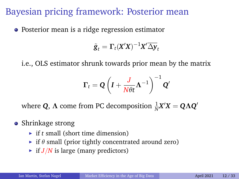• Posterior mean is a ridge regression estimator

$$
\tilde{\mathbf{g}}_t = \mathbf{\Gamma}_t (\mathbf{X}'\mathbf{X})^{-1} \mathbf{X}' \overline{\Delta \mathbf{y}}_t
$$

i.e., OLS estimator shrunk towards prior mean by the matrix

$$
\Gamma_t = \mathbf{Q} \left( \mathbf{I} + \frac{J}{N \theta t} \mathbf{\Lambda}^{-1} \right)^{-1} \mathbf{Q}'
$$

where  $Q$ ,  $\Lambda$  come from PC decomposition  $\frac{1}{N}X'X = Q\Lambda Q'$ 

#### • Shrinkage strong

- $\triangleright$  if *t* small (short time dimension)
- $\triangleright$  if  $\theta$  small (prior tightly concentrated around zero)
- $\triangleright$  if *J*/*N* is large (many predictors)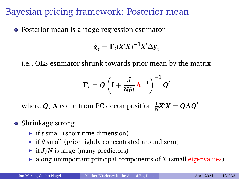• Posterior mean is a ridge regression estimator

$$
\tilde{\mathbf{g}}_t = \mathbf{\Gamma}_t (\mathbf{X}'\mathbf{X})^{-1} \mathbf{X}' \overline{\Delta \mathbf{y}}_t
$$

i.e., OLS estimator shrunk towards prior mean by the matrix

$$
\Gamma_t = \mathbf{Q} \left( I + \frac{J}{N \theta t} \mathbf{\Lambda}^{-1} \right)^{-1} \mathbf{Q}'
$$

where  $Q$ ,  $\Lambda$  come from PC decomposition  $\frac{1}{N}X'X = Q\Lambda Q'$ 

#### • Shrinkage strong

- $\triangleright$  if *t* small (short time dimension)
- $\triangleright$  if  $\theta$  small (prior tightly concentrated around zero)
- $\blacktriangleright$  if *J*/*N* is large (many predictors)
- $\triangleright$  along unimportant principal components of *X* (small eigenvalues)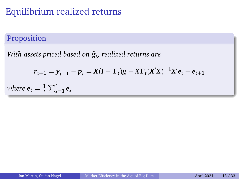#### Proposition

*With assets priced based on g*˜*<sup>t</sup> , realized returns are*

$$
r_{t+1} = y_{t+1} - p_t = X(I - \Gamma_t)g - XY_t(X'X)^{-1}X'\bar{e}_t + e_{t+1}
$$

*where*  $\bar{\bm{e}}_t = \frac{1}{t}$  $\frac{1}{t} \sum_{s=1}^t e_s$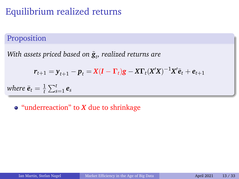#### Proposition

*With assets priced based on g*˜*<sup>t</sup> , realized returns are*

$$
r_{t+1} = y_{t+1} - p_t = X(I - \Gamma_t)g - XY_t(X'X)^{-1}X'\bar{e}_t + e_{t+1}
$$

*where*  $\bar{\bm{e}}_t = \frac{1}{t}$  $\frac{1}{t} \sum_{s=1}^t e_s$ 

"underreaction" to *X* due to shrinkage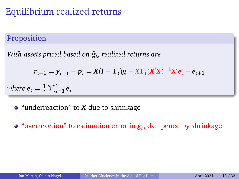#### Proposition

*With assets priced based on g*˜*<sup>t</sup> , realized returns are*

$$
r_{t+1} = y_{t+1} - p_t = X(I - \Gamma_t)g - X\Gamma_t(X'X)^{-1}X'\bar{e}_t + e_{t+1}
$$

*where*  $\bar{\bm{e}}_t = \frac{1}{t}$  $\frac{1}{t} \sum_{s=1}^t e_s$ 

- "underreaction" to *X* due to shrinkage
- "overreaction" to estimation error in  $\tilde{\mathbf{g}}_t$ , dampened by shrinkage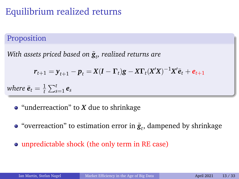#### Proposition

*With assets priced based on g*˜*<sup>t</sup> , realized returns are*

$$
r_{t+1} = y_{t+1} - p_t = X(I - \Gamma_t)g - X\Gamma_t(X'X)^{-1}X'\bar{e}_t + e_{t+1}
$$

*where*  $\bar{\bm{e}}_t = \frac{1}{t}$  $\frac{1}{t} \sum_{s=1}^t e_s$ 

- "underreaction" to *X* due to shrinkage
- "overreaction" to estimation error in  $\tilde{\bm{g}}_t$ , dampened by shrinkage
- unpredictable shock (the only term in RE case)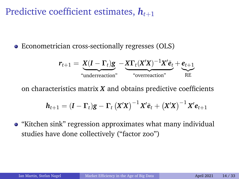Predictive coefficient estimates,  $h_{t+1}$ 

• Econometrician cross-sectionally regresses (OLS)

$$
r_{t+1} = \underbrace{X(I - \Gamma_t)g}_{\text{"underreaction"}} - \underbrace{X\Gamma_t(X'X)^{-1}X'\bar{e}_t}_{\text{"overreaction"}} + \underbrace{e_{t+1}}_{\text{RE}}
$$

on characteristics matrix *X* and obtains predictive coefficients

$$
h_{t+1} = (I - \Gamma_t)g - \Gamma_t (X'X)^{-1} X'\bar{e}_t + (X'X)^{-1} X' e_{t+1}
$$

"Kitchen sink" regression approximates what many individual studies have done collectively ("factor zoo")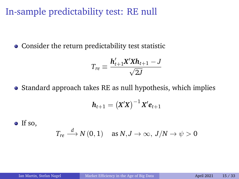In-sample predictability test: RE null

Consider the return predictability test statistic

$$
T_{re} \equiv \frac{h'_{t+1}X'Xh_{t+1} - J}{\sqrt{2J}}
$$

• Standard approach takes RE as null hypothesis, which implies

$$
h_{t+1}=\left(X'X\right)^{-1}X'e_{t+1}
$$

 $\bullet$  If so,

$$
T_{re} \stackrel{d}{\longrightarrow} N(0,1) \quad \text{as } N, J \to \infty, J/N \to \psi > 0
$$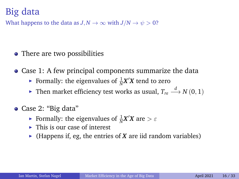# Big data

What happens to the data as  $J, N \to \infty$  with  $J/N \to \psi > 0$ ?

- There are two possibilities
- Case 1: A few principal components summarize the data
	- Formally: the eigenvalues of  $\frac{1}{N}X'X$  tend to zero
	- ► Then market efficiency test works as usual,  $T_{re} \stackrel{d}{\longrightarrow} N(0, 1)$
- Case 2: "Big data"
	- Formally: the eigenvalues of  $\frac{1}{N}X'X$  are  $> \varepsilon$
	- $\blacktriangleright$  This is our case of interest
	- $\blacktriangleright$  (Happens if, eg, the entries of *X* are iid random variables)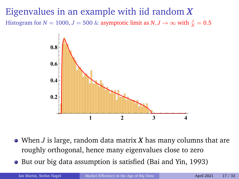Eigenvalues in an example with iid random *X* Histogram for *N* = 1000, *J* = 500 & asymptotic limit as  $N, J \rightarrow \infty$  with  $\frac{J}{N} = 0.5$ 



- When *J* is large, random data matrix *X* has many columns that are roughly orthogonal, hence many eigenvalues close to zero
- But our big data assumption is satisfied (Bai and Yin, 1993)

Ian Martin, Stefan Nagel [Market Efficiency in the Age of Big Data](#page-0-0) April 2021 17/33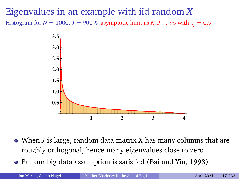# Eigenvalues in an example with iid random *X* Histogram for *N* = 1000, *J* = 900 & asymptotic limit as  $N, J \rightarrow \infty$  with  $\frac{J}{N} = 0.9$



- When *J* is large, random data matrix *X* has many columns that are roughly orthogonal, hence many eigenvalues close to zero
- But our big data assumption is satisfied (Bai and Yin, 1993)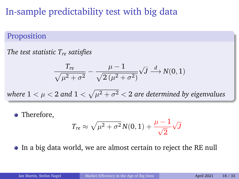# In-sample predictability test with big data

#### Proposition

*The test statistic Tre satisfies*

$$
\frac{T_{re}}{\sqrt{\mu^2 + \sigma^2}} - \frac{\mu - 1}{\sqrt{2(\mu^2 + \sigma^2)}} \sqrt{J} \stackrel{d}{\longrightarrow} N(0, 1)
$$

where  $1 < \mu < 2$  and  $1 < \sqrt{\mu^2 + \sigma^2} < 2$  are determined by eigenvalues

• Therefore,

$$
T_{re} \approx \sqrt{\mu^2 + \sigma^2} N(0,1) + \frac{\mu - 1}{\sqrt{2}} \sqrt{J}
$$

In a big data world, we are almost certain to reject the RE null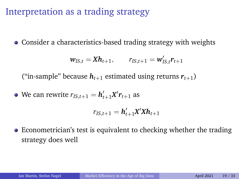# Interpretation as a trading strategy

Consider a characteristics-based trading strategy with weights

$$
\mathbf{w}_{IS,t} = \mathbf{X}\mathbf{h}_{t+1}, \qquad \mathbf{r}_{IS,t+1} = \mathbf{w}'_{IS,t}\mathbf{r}_{t+1}
$$

("in-sample" because  $h_{t+1}$  estimated using returns  $r_{t+1}$ )

We can rewrite  $r_{IS,t+1} = h'_{t+1}X'r_{t+1}$  as

$$
r_{IS,t+1} = h'_{t+1} X' X h_{t+1}
$$

Econometrician's test is equivalent to checking whether the trading strategy does well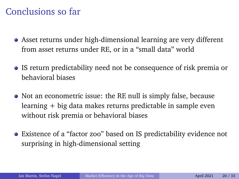### Conclusions so far

- Asset returns under high-dimensional learning are very different from asset returns under RE, or in a "small data" world
- IS return predictability need not be consequence of risk premia or behavioral biases
- Not an econometric issue: the RE null is simply false, because learning + big data makes returns predictable in sample even without risk premia or behavioral biases
- Existence of a "factor zoo" based on IS predictability evidence not surprising in high-dimensional setting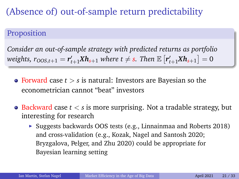(Absence of) out-of-sample return predictability

#### Proposition

*Consider an out-of-sample strategy with predicted returns as portfolio* weights,  $r_{OOS,t+1} = r'_{t+1}Xh_{s+1}$  where  $t \neq s$ . Then  $\mathbb{E}\left[r'_{t+1}Xh_{s+1}\right] = 0$ 

- Forward case *t* > *s* is natural: Investors are Bayesian so the econometrician cannot "beat" investors
- Backward case *t* < *s* is more surprising. Not a tradable strategy, but interesting for research
	- $\triangleright$  Suggests backwards OOS tests (e.g., Linnainmaa and Roberts 2018) and cross-validation (e.g., Kozak, Nagel and Santosh 2020; Bryzgalova, Pelger, and Zhu 2020) could be appropriate for Bayesian learning setting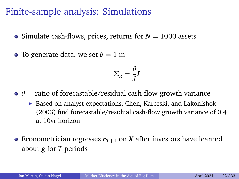Finite-sample analysis: Simulations

- Simulate cash-flows, prices, returns for  $N = 1000$  assets
- To generate data, we set  $\theta = 1$  in

$$
\boldsymbol{\Sigma}_g = \frac{\theta}{J}\boldsymbol{I}
$$

- $\theta = \theta$  = ratio of forecastable/residual cash-flow growth variance
	- $\triangleright$  Based on analyst expectations, Chen, Karceski, and Lakonishok (2003) find forecastable/residual cash-flow growth variance of 0.4 at 10yr horizon
- Econometrician regresses  $r_{T+1}$  on X after investors have learned about *g* for *T* periods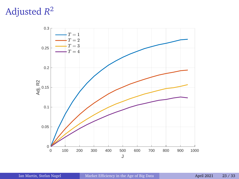# Adjusted *R* 2

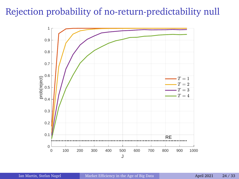### Rejection probability of no-return-predictability null

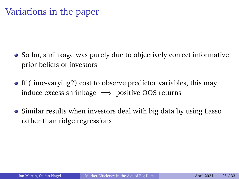### Variations in the paper

- So far, shrinkage was purely due to objectively correct informative prior beliefs of investors
- If (time-varying?) cost to observe predictor variables, this may induce excess shrinkage  $\implies$  positive OOS returns
- Similar results when investors deal with big data by using Lasso rather than ridge regressions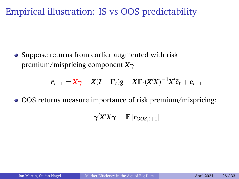# Empirical illustration: IS vs OOS predictability

• Suppose returns from earlier augmented with risk premium/mispricing component *X*γ

$$
r_{t+1} = X\gamma + X(I - \Gamma_t)g - X\Gamma_t(X'X)^{-1}X'\bar{e}_t + e_{t+1}
$$

OOS returns measure importance of risk premium/mispricing:

$$
\gamma'X'X\gamma = \mathbb{E}\left[r_{OOS,t+1}\right]
$$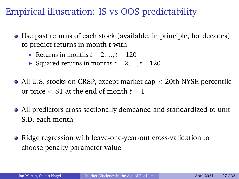# Empirical illustration: IS vs OOS predictability

- Use past returns of each stock (available, in principle, for decades) to predict returns in month *t* with
	- **►** Returns in months  $t-2, ..., t-120$
	- $\triangleright$  Squared returns in months  $t 2, ..., t 120$
- All U.S. stocks on CRSP, except market cap  $\lt$  20th NYSE percentile or price  $<$  \$1 at the end of month  $t-1$
- All predictors cross-sectionally demeaned and standardized to unit S.D. each month
- Ridge regression with leave-one-year-out cross-validation to choose penalty parameter value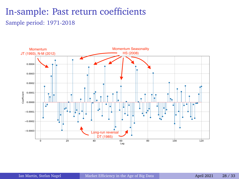### In-sample: Past return coefficients Sample period: 1971-2018

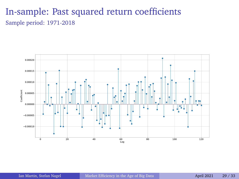### In-sample: Past squared return coefficients Sample period: 1971-2018

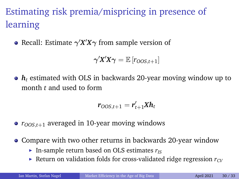# Estimating risk premia/mispricing in presence of learning

Recall: Estimate  $\gamma' X' X \gamma$  from sample version of

$$
\boldsymbol{\gamma}'\!\boldsymbol{X}'\!\boldsymbol{X}\boldsymbol{\gamma} = \mathbb{E}\left[r_{OOS,t+1}\right]
$$

*h<sup>t</sup>* estimated with OLS in backwards 20-year moving window up to month *t* and used to form

$$
r_{OOS,t+1}=r'_{t+1}Xh_t
$$

- $r_{OOS, t+1}$  averaged in 10-year moving windows
- Compare with two other returns in backwards 20-year window
	- In-sample return based on OLS estimates  $r<sub>IS</sub>$
	- Exeturn on validation folds for cross-validated ridge regression  $r_{CV}$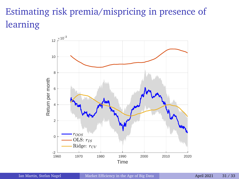# Estimating risk premia/mispricing in presence of learning

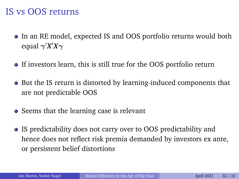### IS vs OOS returns

- In an RE model, expected IS and OOS portfolio returns would both equal  $\gamma^\prime X^\prime X \gamma$
- If investors learn, this is still true for the OOS portfolio return
- But the IS return is distorted by learning-induced components that are not predictable OOS
- Seems that the learning case is relevant
- IS predictability does not carry over to OOS predictability and hence does not reflect risk premia demanded by investors ex ante, or persistent belief distortions